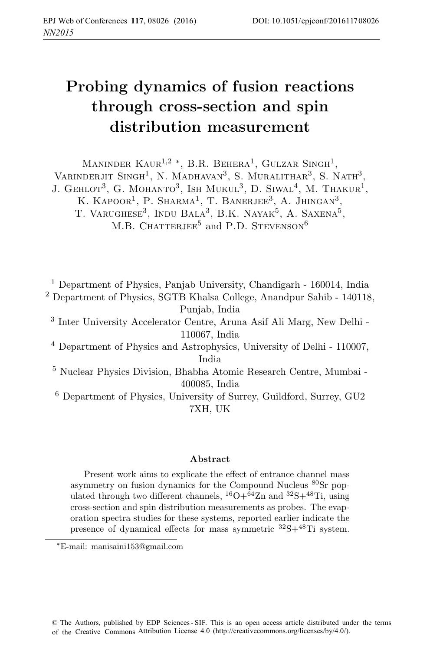# **Probing dynamics of fusion reactions through cross-section and spin distribution measurement**

MANINDER KAUR<sup>1,2</sup> \*, B.R. BEHERA<sup>1</sup>, GULZAR SINGH<sup>1</sup>, VARINDERJIT SINGH<sup>1</sup>, N. MADHAVAN<sup>3</sup>, S. MURALITHAR<sup>3</sup>, S. NATH<sup>3</sup>, J. GEHLOT<sup>3</sup>, G. MOHANTO<sup>3</sup>, ISH MUKUL<sup>3</sup>, D. SIWAL<sup>4</sup>, M. THAKUR<sup>1</sup>, K. KAPOOR<sup>1</sup>, P. SHARMA<sup>1</sup>, T. BANERJEE<sup>3</sup>, A. JHINGAN<sup>3</sup>, T. VARUGHESE<sup>3</sup>, INDU BALA<sup>3</sup>, B.K. NAYAK<sup>5</sup>, A. SAXENA<sup>5</sup>, M.B. CHATTERJEE<sup>5</sup> and P.D. STEVENSON<sup>6</sup>

<sup>1</sup> Department of Physics, Panjab University, Chandigarh - 160014, India <sup>2</sup> Department of Physics, SGTB Khalsa College, Anandpur Sahib - 140118, Punjab, India <sup>3</sup> Inter University Accelerator Centre, Aruna Asif Ali Marg, New Delhi - 110067, India <sup>4</sup> Department of Physics and Astrophysics, University of Delhi - 110007, India <sup>5</sup> Nuclear Physics Division, Bhabha Atomic Research Centre, Mumbai - 400085, India

<sup>6</sup> Department of Physics, University of Surrey, Guildford, Surrey, GU2 7XH, UK

#### **Abstract**

Present work aims to explicate the effect of entrance channel mass asymmetry on fusion dynamics for the Compound Nucleus <sup>80</sup>Sr populated through two different channels,  ${}^{16}O+{}^{64}Zn$  and  ${}^{32}S+{}^{48}Ti$ , using cross-section and spin distribution measurements as probes. The evaporation spectra studies for these systems, reported earlier indicate the presence of dynamical effects for mass symmetric  ${}^{32}S+{}^{48}Ti$  system.

<sup>\*</sup>E-mail: manisaini153@gmail.com E-mail: manisaini153@gmail.com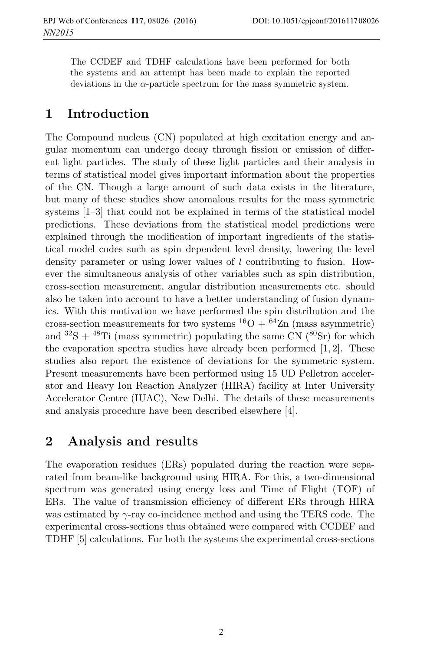The CCDEF and TDHF calculations have been performed for both the systems and an attempt has been made to explain the reported deviations in the  $\alpha$ -particle spectrum for the mass symmetric system.

## **1 Introduction**

The Compound nucleus (CN) populated at high excitation energy and angular momentum can undergo decay through fission or emission of different light particles. The study of these light particles and their analysis in terms of statistical model gives important information about the properties of the CN. Though a large amount of such data exists in the literature, but many of these studies show anomalous results for the mass symmetric systems [1–3] that could not be explained in terms of the statistical model predictions. These deviations from the statistical model predictions were explained through the modification of important ingredients of the statistical model codes such as spin dependent level density, lowering the level density parameter or using lower values of  $l$  contributing to fusion. However the simultaneous analysis of other variables such as spin distribution, cross-section measurement, angular distribution measurements etc. should also be taken into account to have a better understanding of fusion dynamics. With this motivation we have performed the spin distribution and the cross-section measurements for two systems  ${}^{16}O + {}^{64}Zn$  (mass asymmetric) and  ${}^{32}S + {}^{48}Ti$  (mass symmetric) populating the same CN ( ${}^{80}Sr$ ) for which the evaporation spectra studies have already been performed [1, 2]. These studies also report the existence of deviations for the symmetric system. Present measurements have been performed using 15 UD Pelletron accelerator and Heavy Ion Reaction Analyzer (HIRA) facility at Inter University Accelerator Centre (IUAC), New Delhi. The details of these measurements and analysis procedure have been described elsewhere [4].

### **2 Analysis and results**

The evaporation residues (ERs) populated during the reaction were separated from beam-like background using HIRA. For this, a two-dimensional spectrum was generated using energy loss and Time of Flight (TOF) of ERs. The value of transmission efficiency of different ERs through HIRA was estimated by  $\gamma$ -ray co-incidence method and using the TERS code. The experimental cross-sections thus obtained were compared with CCDEF and TDHF [5] calculations. For both the systems the experimental cross-sections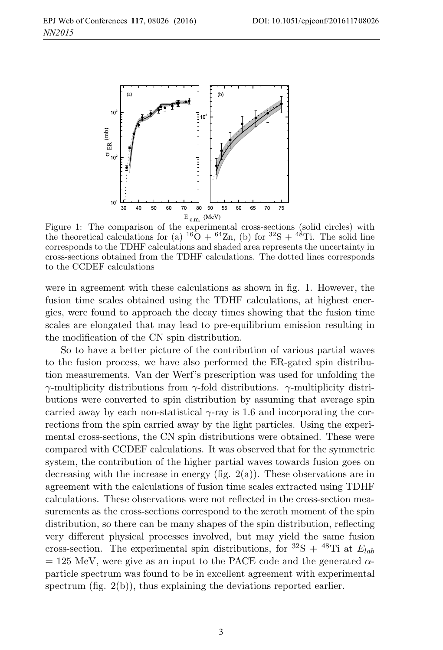

Figure 1: The comparison of the experimental cross-sections (solid circles) with the theoretical calculations for (a)  $^{16}O + ^{64}Zn$ , (b) for  $^{32}S + ^{48}Ti$ . The solid line corresponds to the TDHF calculations and shaded area represents the uncertainty in cross-sections obtained from the TDHF calculations. The dotted lines corresponds to the CCDEF calculations

were in agreement with these calculations as shown in fig. 1. However, the fusion time scales obtained using the TDHF calculations, at highest energies, were found to approach the decay times showing that the fusion time scales are elongated that may lead to pre-equilibrium emission resulting in the modification of the CN spin distribution.

So to have a better picture of the contribution of various partial waves to the fusion process, we have also performed the ER-gated spin distribution measurements. Van der Werf's prescription was used for unfolding the γ-multiplicity distributions from γ-fold distributions. γ-multiplicity distributions were converted to spin distribution by assuming that average spin carried away by each non-statistical  $\gamma$ -ray is 1.6 and incorporating the corrections from the spin carried away by the light particles. Using the experimental cross-sections, the CN spin distributions were obtained. These were compared with CCDEF calculations. It was observed that for the symmetric system, the contribution of the higher partial waves towards fusion goes on decreasing with the increase in energy (fig.  $2(a)$ ). These observations are in agreement with the calculations of fusion time scales extracted using TDHF calculations. These observations were not reflected in the cross-section measurements as the cross-sections correspond to the zeroth moment of the spin distribution, so there can be many shapes of the spin distribution, reflecting very different physical processes involved, but may yield the same fusion cross-section. The experimental spin distributions, for <sup>32</sup>S + <sup>48</sup>Ti at  $E_{lab}$  $= 125$  MeV, were give as an input to the PACE code and the generated  $\alpha$ particle spectrum was found to be in excellent agreement with experimental spectrum (fig. 2(b)), thus explaining the deviations reported earlier.